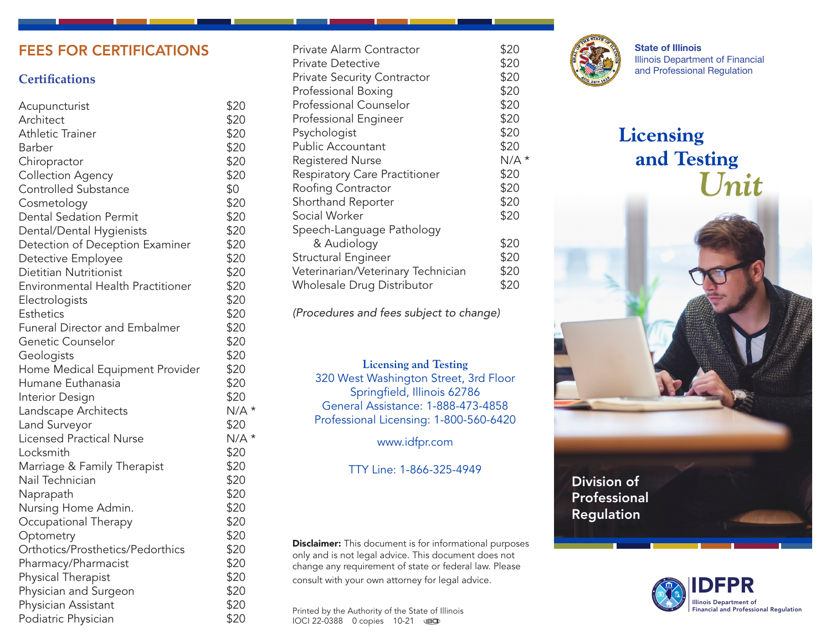# FEES FOR CERTIFICATIONS

## **Certifications**

| Acupuncturist                        | \$20    |
|--------------------------------------|---------|
| Architect                            | \$20    |
| Athletic Trainer                     | \$20    |
| Barber                               | \$20    |
| Chiropractor                         | \$20    |
| <b>Collection Agency</b>             | \$20    |
| Controlled Substance                 | \$0     |
| Cosmetology                          | \$20    |
| <b>Dental Sedation Permit</b>        | \$20    |
| Dental/Dental Hygienists             | \$20    |
| Detection of Deception Examiner      | \$20    |
| Detective Employee                   | \$20    |
| <b>Dietitian Nutritionist</b>        | \$20    |
| Environmental Health Practitioner    | \$20    |
| Electrologists                       | \$20    |
| <b>Esthetics</b>                     | \$20    |
| <b>Funeral Director and Embalmer</b> | \$20    |
| Genetic Counselor                    | \$20    |
| Geologists                           | \$20    |
| Home Medical Equipment Provider      | \$20    |
| Humane Euthanasia                    | \$20    |
| Interior Design                      | \$20    |
| Landscape Architects                 | $N/A$ * |
| Land Surveyor                        | \$20    |
| <b>Licensed Practical Nurse</b>      | $N/A$ * |
| Locksmith                            | \$20    |
| Marriage & Family Therapist          | \$20    |
| Nail Technician                      | \$20    |
| Naprapath                            | \$20    |
| Nursing Home Admin.                  | \$20    |
| Occupational Therapy                 | \$20    |
| Optometry                            | \$20    |
| Orthotics/Prosthetics/Pedorthics     | \$20    |
| Pharmacy/Pharmacist                  | \$20    |
| Physical Therapist                   | \$20    |
| Physician and Surgeon                | \$20    |
| Physician Assistant                  | \$20    |
| Podiatric Physician                  | \$20    |

| Private Alarm Contractor           | \$20    |
|------------------------------------|---------|
| <b>Private Detective</b>           | \$20    |
| <b>Private Security Contractor</b> | \$20    |
| Professional Boxing                | \$20    |
| <b>Professional Counselor</b>      | \$20    |
| Professional Engineer              | \$20    |
| Psychologist                       | \$20    |
| Public Accountant                  | \$20    |
| <b>Registered Nurse</b>            | $N/A$ * |
| Respiratory Care Practitioner      | \$20    |
| Roofing Contractor                 | \$20    |
| Shorthand Reporter                 | \$20    |
| Social Worker                      | \$20    |
| Speech-Language Pathology          |         |
| & Audiology                        | \$20    |
| Structural Engineer                | \$20    |
| Veterinarian/Veterinary Technician | \$20    |
| Wholesale Drug Distributor         | \$20    |
|                                    |         |

*(Procedures and fees subject to change)*

#### **Licensing and Testing**

320 West Washington Street, 3rd Floor Springfield, Illinois 62786 General Assistance: 1-888-473-4858 Professional Licensing: 1-800-560-6420

www.idfpr.com

TTY Line: 1-866-325-4949

**Disclaimer:** This document is for informational purposes only and is not legal advice. This document does not change any requirement of state or federal law. Please consult with your own attorney for legal advice.

Printed by the Authority of the State of Illinois IOCI 22-0388 0 copies 10-21



State of Illinois Illinois Department of Financial and Professional Regulation

# **Licensing and Testing** *Unit*